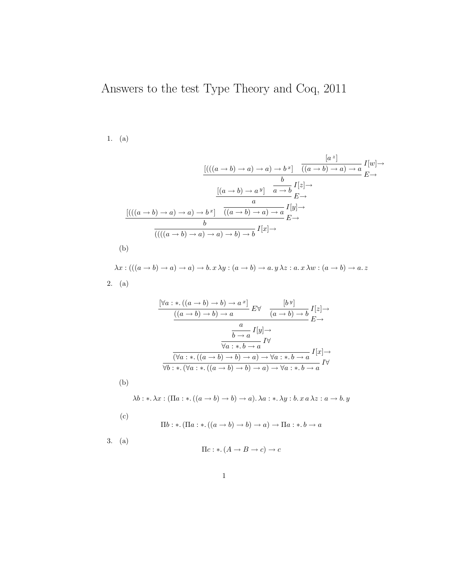## Answers to the test Type Theory and Coq, 2011

## 1. (a)

(b)

$$
\frac{\left[((((a \to b) \to a) \to a) \to b^x\right] \quad ((a \to b) \to a) \to a \atop (a \to b) \to a^y\right] \quad I[x] \to}{b} \to
$$
\n
$$
\frac{\left[((a \to b) \to a^y\right] \quad a \to b}{a} I[x] \to
$$
\n
$$
\frac{\left[((a \to b) \to a) \to b^x\right] \quad ((a \to b) \to a) \to a \atop (a \to b) \to a^y\right] \quad I[x] \to}{b}
$$
\n
$$
\frac{\left[((a \to b) \to a) \to b^x\right] \quad ((a \to b) \to a) \to b^x \quad I[x] \to}{b}
$$
\n
$$
\frac{\left[((a \to b) \to a) \to a^y\right] \quad (a \to b) \to b^x \quad I[x] \to}{b}
$$
\n
$$
\frac{\left[((a \to b) \to a) \to a^y\right] \quad (a \to b) \to a^y \quad I[x] \to}{b}
$$
\n
$$
\frac{\left[((a \to b) \to a) \to a^y\right] \quad (a \to b) \to a^y \quad I[x] \to}{b}
$$
\n
$$
\frac{\left[((a \to b) \to a) \to a^y\right] \quad (a \to b) \to a^y \quad I[x] \to}{b}
$$
\n
$$
\frac{\left[((a \to b) \to a) \to a^y\right] \quad (a \to b) \to a^y \quad I[x] \to}{b}
$$

 $\lambda x : (((a \rightarrow b) \rightarrow a) \rightarrow b. x \lambda y : (a \rightarrow b) \rightarrow a. y \lambda z : a. x \lambda w : (a \rightarrow b) \rightarrow a. z$ 2. (a)

$$
\frac{\begin{bmatrix} \forall a: * . ((a \to b) \to b) \to a^x \end{bmatrix}}{((a \to b) \to b) \to a} E \forall \frac{[b^y]}{(a \to b) \to b} I[z] \to
$$
\n
$$
\frac{a}{b \to a} I[y] \to
$$
\n
$$
\frac{a}{\forall a: * . b \to a} I \forall
$$
\n
$$
\frac{(\forall a: * . ((a \to b) \to b) \to a) \to \forall a: * . b \to a} \forall b: * . (\forall a: * . ((a \to b) \to b) \to a) \to \forall a: * . b \to a} I \forall
$$

$$
\lambda b: \lambda x: (\Pi a: \lambda . ((a \rightarrow b) \rightarrow b) \rightarrow a). \lambda a: \lambda y: b. x a \lambda z: a \rightarrow b. y
$$

(c)  $\Pi b:$  ∗. (Π $a:$  ∗. (( $a \rightarrow b$ )  $\rightarrow b$ )  $\rightarrow a$ )  $\rightarrow \Pi a:$  ∗.  $b \rightarrow a$ 3. (a)  $\Pi c : * (A \to B \to c) \to c$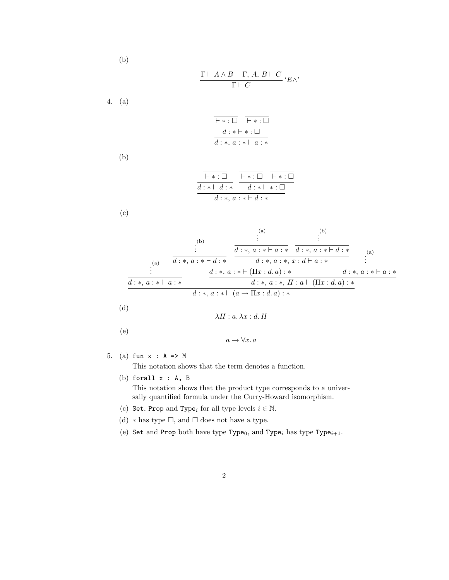$$
\frac{\Gamma\vdash A\wedge B\quad\Gamma,\,A,\,B\vdash C}{\Gamma\vdash C}\,{}^{\cdot}E\wedge^{\cdot}
$$

4. (a)

(b)

$$
\begin{array}{c|c}\n\overline{\phantom{a}}\phantom{a} & \overline{\phantom{a}}\phantom{a} & \overline{\phantom{a}}\phantom{a} \\
\hline\n\phantom{a} d : * \vdash * : \Box \\
\hline\n\phantom{a} d : * \vdash * : \Box \\
\hline\n\phantom{a} d : * \ldots & \Box * \vdash a : * \\
\end{array}
$$

(b)

$$
\frac{\overline{\phantom{a}}\phantom{a}+ \cdots \overline{\phantom{a}}\phantom{a}}{d \cdots} {\overline{d \cdots} + \cdots}
$$

(c)

(a)  
\n
$$
\begin{array}{c}\n\vdots \\
\vdots \\
\hline\n\vdots \\
\hline\n\vdots \\
\hline\nd:*, a: * \vdash d: * & d:*, a: * \vdash d: * & d:*, a: * \vdash d: * \\
\hline\nd:*, a: * \vdash ( \Pi x : d. a): * & d:*, a: * \vdash a : * & \\
\hline\nd:*, a: * \vdash (a : * \vdash ( \Pi x : d. a): * & d:*, a: * \vdash a : * \\
\hline\nd:*, a: * \vdash (a \rightarrow \Pi x : d. a): * & \\
\hline\n\vdots \\
\hline\n\end{array}
$$
\n(b)  
\n
$$
\frac{\vdots}{d:*, a: * \vdash d: * & d:*, a: * \vdash a: * & \\
\hline\n\vdots \\
\hline\n\vdots \\
\hline\n\vdots \\
\hline\n\vdots \\
\hline\n\vdots \\
\hline\n\vdots \\
\hline\n\vdots \\
\hline\n\end{array}
$$
\n(d)  
\n
$$
\lambda H: a. \lambda x: d. H
$$
\n(e)

$$
a\to \forall x.\, a
$$

5. (a) fun x : A => M

This notation shows that the term denotes a function.

(b) forall x : A, B

This notation shows that the product type corresponds to a universally quantified formula under the Curry-Howard isomorphism.

- (c) Set, Prop and Type<sub>i</sub> for all type levels  $i \in \mathbb{N}$ .
- (d)  $*$  has type  $\Box$ , and  $\Box$  does not have a type.
- (e) Set and Prop both have type Type<sub>0</sub>, and Type<sub>i</sub> has type Type<sub>i+1</sub>.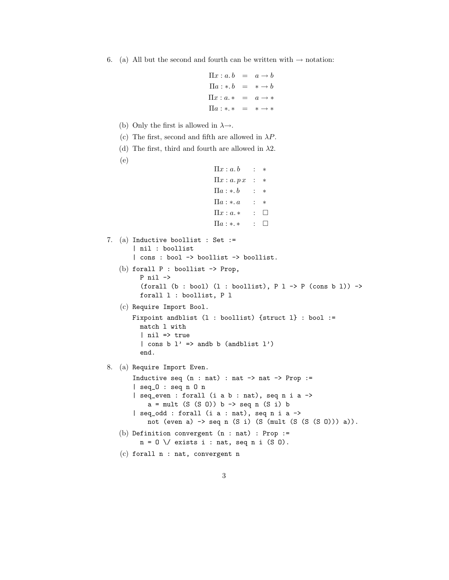6. (a) All but the second and fourth can be written with  $\rightarrow$  notation:

```
\Pi x : a.b = a \rightarrow b\Pi a : *b = * \rightarrow b\Pi x : a.* = a \rightarrow *\Pi a : *.* = * \rightarrow *
```
- (b) Only the first is allowed in  $\lambda \rightarrow$ .
- (c) The first, second and fifth are allowed in  $\lambda P$ .
- (d) The first, third and fourth are allowed in  $\lambda$ 2.
- (e)

```
\Pi x : a.b : *
\Pi x : a. p x : *\Pi a : * b : *\Pi a : * . a : *
\Pi x : a.* : \Box\Pi a : \ast . \ast : \Box
```

```
7. (a) Inductive boollist : Set :=
       | nil : boollist
       | cons : bool -> boollist -> boollist.
   (b) forall P : boollist -> Prop,
         P nil ->
         (forall (b : bool) (1 : boollist), P 1 \rightarrow P (cons b 1)) ->
         forall l : boollist, P l
   (c) Require Import Bool.
      Fixpoint andblist (l : boollist) {struct l} : bool :=
        match l with
         | nil => true
         | cons b l' => andb b (andblist l')
         end.
```
8. (a) Require Import Even.

```
Inductive seq (n : nat) : nat \rightarrow nat \rightarrow Prop :=| seq_O : seq n O n
    | seq_even : forall (i a b : nat), seq n i a ->
        a = mult (S (S 0)) b \rightarrow seq n (S i) b| seq_odd : forall (i a : nat), seq n i a ->
        not (even a) -> seq n (S i) (S (mult (S (S (S O))) a)).
(b) Definition convergent (n : nat) : Prop :=
      n = 0 \setminus / exists i : nat, seq n i (S 0).
```
(c) forall n : nat, convergent n